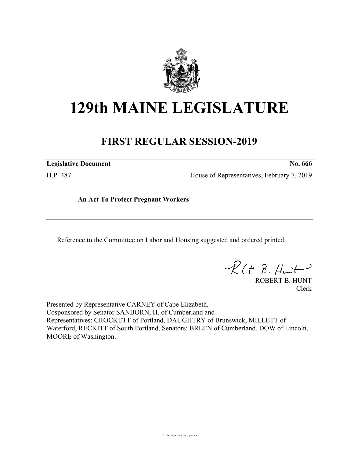

## **129th MAINE LEGISLATURE**

## **FIRST REGULAR SESSION-2019**

**Legislative Document No. 666**

H.P. 487 House of Representatives, February 7, 2019

**An Act To Protect Pregnant Workers**

Reference to the Committee on Labor and Housing suggested and ordered printed.

 $R(H B. Hmt)$ 

ROBERT B. HUNT Clerk

Presented by Representative CARNEY of Cape Elizabeth. Cosponsored by Senator SANBORN, H. of Cumberland and Representatives: CROCKETT of Portland, DAUGHTRY of Brunswick, MILLETT of Waterford, RECKITT of South Portland, Senators: BREEN of Cumberland, DOW of Lincoln, MOORE of Washington.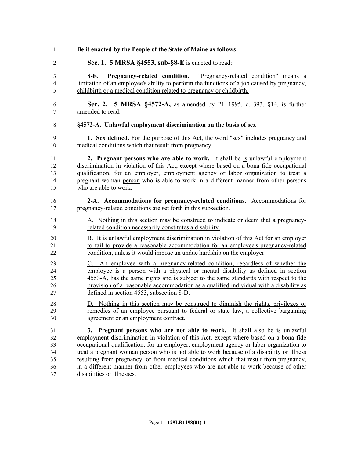| 1                                 | Be it enacted by the People of the State of Maine as follows:                                                                                                                                                                                     |
|-----------------------------------|---------------------------------------------------------------------------------------------------------------------------------------------------------------------------------------------------------------------------------------------------|
| 2                                 | Sec. 1. 5 MRSA §4553, sub-§8-E is enacted to read:                                                                                                                                                                                                |
| 3<br>$\overline{\mathbf{4}}$<br>5 | Pregnancy-related condition. "Pregnancy-related condition" means a<br>8-E.<br>limitation of an employee's ability to perform the functions of a job caused by pregnancy,<br>childbirth or a medical condition related to pregnancy or childbirth. |
| 6                                 | Sec. 2. 5 MRSA §4572-A, as amended by PL 1995, c. 393, §14, is further                                                                                                                                                                            |
| 7                                 | amended to read:                                                                                                                                                                                                                                  |
| 8                                 | §4572-A. Unlawful employment discrimination on the basis of sex                                                                                                                                                                                   |
| 9                                 | <b>1. Sex defined.</b> For the purpose of this Act, the word "sex" includes pregnancy and                                                                                                                                                         |
| 10                                | medical conditions which that result from pregnancy.                                                                                                                                                                                              |
| 11                                | 2. Pregnant persons who are able to work. It shall be is unlawful employment                                                                                                                                                                      |
| 12                                | discrimination in violation of this Act, except where based on a bona fide occupational                                                                                                                                                           |
| 13                                | qualification, for an employer, employment agency or labor organization to treat a                                                                                                                                                                |
| 14                                | pregnant woman person who is able to work in a different manner from other persons                                                                                                                                                                |
| 15                                | who are able to work.                                                                                                                                                                                                                             |
| 16                                | 2-A. Accommodations for pregnancy-related conditions. Accommodations for                                                                                                                                                                          |
| 17                                | pregnancy-related conditions are set forth in this subsection.                                                                                                                                                                                    |
| 18                                | A. Nothing in this section may be construed to indicate or deem that a pregnancy-                                                                                                                                                                 |
| 19                                | related condition necessarily constitutes a disability.                                                                                                                                                                                           |
| 20                                | B. It is unlawful employment discrimination in violation of this Act for an employer                                                                                                                                                              |
| 21                                | to fail to provide a reasonable accommodation for an employee's pregnancy-related                                                                                                                                                                 |
| 22                                | condition, unless it would impose an undue hardship on the employer.                                                                                                                                                                              |
| 23                                | C. An employee with a pregnancy-related condition, regardless of whether the                                                                                                                                                                      |
| 24                                | employee is a person with a physical or mental disability as defined in section                                                                                                                                                                   |
| 25                                | 4553-A, has the same rights and is subject to the same standards with respect to the                                                                                                                                                              |
| 26                                | provision of a reasonable accommodation as a qualified individual with a disability as                                                                                                                                                            |
| 27                                | defined in section 4553, subsection 8-D.                                                                                                                                                                                                          |
| 28                                | D. Nothing in this section may be construed to diminish the rights, privileges or                                                                                                                                                                 |
| 29                                | remedies of an employee pursuant to federal or state law, a collective bargaining                                                                                                                                                                 |
| 30                                | agreement or an employment contract.                                                                                                                                                                                                              |
| 31                                | 3. Pregnant persons who are not able to work. It shall also be is unlawful                                                                                                                                                                        |
| 32                                | employment discrimination in violation of this Act, except where based on a bona fide                                                                                                                                                             |
| 33                                | occupational qualification, for an employer, employment agency or labor organization to                                                                                                                                                           |
| 34                                | treat a pregnant woman person who is not able to work because of a disability or illness                                                                                                                                                          |
| 35                                | resulting from pregnancy, or from medical conditions which that result from pregnancy,                                                                                                                                                            |
| 36                                | in a different manner from other employees who are not able to work because of other                                                                                                                                                              |
| 37                                | disabilities or illnesses.                                                                                                                                                                                                                        |